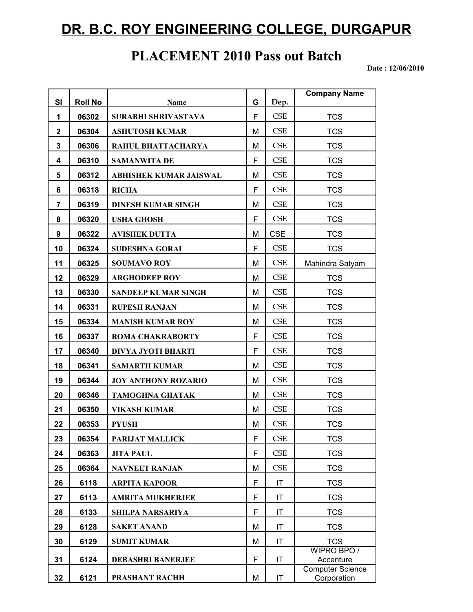## **DR. B.C. ROY ENGINEERING COLLEGE, DURGAPUR**

## **PLACEMENT 2010 Pass out Batch**

 **Date : 12/06/2010**

| <b>SI</b>    | <b>Roll No</b> | Name                          | G | Dep.       | <b>Company Name</b>                    |
|--------------|----------------|-------------------------------|---|------------|----------------------------------------|
| 1            | 06302          | SURABHI SHRIVASTAVA           | F | CSE        | <b>TCS</b>                             |
| $\mathbf{2}$ | 06304          | <b>ASHUTOSH KUMAR</b>         | M | CSE        | <b>TCS</b>                             |
| 3            | 06306          | RAHUL BHATTACHARYA            | M | CSE        | <b>TCS</b>                             |
| 4            | 06310          | <b>SAMANWITA DE</b>           | F | CSE        | <b>TCS</b>                             |
| 5            | 06312          | <b>ABHISHEK KUMAR JAISWAL</b> | M | CSE        | <b>TCS</b>                             |
| 6            | 06318          | <b>RICHA</b>                  | F | CSE        | <b>TCS</b>                             |
| 7            | 06319          | <b>DINESH KUMAR SINGH</b>     | M | CSE        | <b>TCS</b>                             |
| 8            | 06320          | <b>USHA GHOSH</b>             | F | CSE        | <b>TCS</b>                             |
| 9            | 06322          | <b>AVISHEK DUTTA</b>          | M | <b>CSE</b> | <b>TCS</b>                             |
| 10           | 06324          | <b>SUDESHNA GORAI</b>         | F | CSE        | <b>TCS</b>                             |
| 11           | 06325          | <b>SOUMAVO ROY</b>            | M | CSE        | Mahindra Satyam                        |
| 12           | 06329          | <b>ARGHODEEP ROY</b>          | M | CSE        | <b>TCS</b>                             |
| 13           | 06330          | <b>SANDEEP KUMAR SINGH</b>    | M | CSE        | <b>TCS</b>                             |
| 14           | 06331          | <b>RUPESH RANJAN</b>          | M | <b>CSE</b> | <b>TCS</b>                             |
| 15           | 06334          | <b>MANISH KUMAR ROY</b>       | M | CSE        | <b>TCS</b>                             |
| 16           | 06337          | <b>ROMA CHAKRABORTY</b>       | F | CSE        | <b>TCS</b>                             |
| 17           | 06340          | DIVYA JYOTI BHARTI            | F | CSE        | <b>TCS</b>                             |
| 18           | 06341          | <b>SAMARTH KUMAR</b>          | M | CSE        | <b>TCS</b>                             |
| 19           | 06344          | <b>JOY ANTHONY ROZARIO</b>    | M | CSE        | <b>TCS</b>                             |
| 20           | 06346          | <b>TAMOGHNA GHATAK</b>        | M | CSE        | <b>TCS</b>                             |
| 21           | 06350          | <b>VIKASH KUMAR</b>           | M | CSE        | <b>TCS</b>                             |
| 22           | 06353          | <b>PYUSH</b>                  | M | CSE        | <b>TCS</b>                             |
| 23           | 06354          | PARIJAT MALLICK               | F | <b>CSE</b> | TCS                                    |
| 24           | 06363          | <b>JITA PAUL</b>              | F | CSE        | <b>TCS</b>                             |
| 25           | 06364          | <b>NAVNEET RANJAN</b>         | M | CSE        | <b>TCS</b>                             |
| 26           | 6118           | <b>ARPITA KAPOOR</b>          | F | IT         | <b>TCS</b>                             |
| 27           | 6113           | <b>AMRITA MUKHERJEE</b>       | F | IT         | <b>TCS</b>                             |
| 28           | 6133           | <b>SHILPA NARSARIYA</b>       | F | IT         | <b>TCS</b>                             |
| 29           | 6128           | <b>SAKET ANAND</b>            | M | IT         | <b>TCS</b>                             |
| 30           | 6129           | <b>SUMIT KUMAR</b>            | M | IT         | <b>TCS</b>                             |
| 31           | 6124           | <b>DEBASHRI BANERJEE</b>      | F | IT         | WIPRO BPO /<br>Accenture               |
| 32           | 6121           | PRASHANT RACHH                | M | IT         | <b>Computer Science</b><br>Corporation |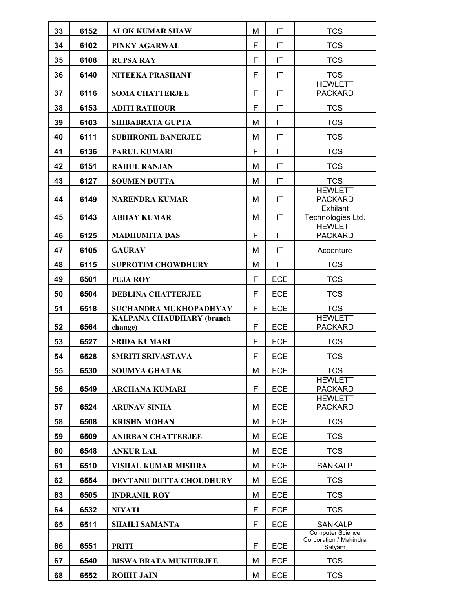| 33 | 6152 | <b>ALOK KUMAR SHAW</b>           | M | ΙT                     | <b>TCS</b>                                                  |
|----|------|----------------------------------|---|------------------------|-------------------------------------------------------------|
| 34 | 6102 | PINKY AGARWAL                    | F | IT                     | <b>TCS</b>                                                  |
| 35 | 6108 | <b>RUPSA RAY</b>                 | F | IT                     | <b>TCS</b>                                                  |
| 36 | 6140 | NITEEKA PRASHANT                 | F | IT                     | <b>TCS</b>                                                  |
| 37 | 6116 | <b>SOMA CHATTERJEE</b>           | F | IT                     | <b>HEWLETT</b><br><b>PACKARD</b>                            |
| 38 | 6153 | <b>ADITI RATHOUR</b>             | F | IT                     | <b>TCS</b>                                                  |
| 39 | 6103 | SHIBABRATA GUPTA                 | M | IT                     | <b>TCS</b>                                                  |
| 40 | 6111 | <b>SUBHRONIL BANERJEE</b>        | M | ΙT                     | <b>TCS</b>                                                  |
| 41 | 6136 | <b>PARUL KUMARI</b>              | F | $\mathsf{I}\mathsf{T}$ | <b>TCS</b>                                                  |
| 42 | 6151 | <b>RAHUL RANJAN</b>              | м | IT                     | <b>TCS</b>                                                  |
| 43 | 6127 | <b>SOUMEN DUTTA</b>              | M | IT                     | <b>TCS</b>                                                  |
| 44 | 6149 | <b>NARENDRA KUMAR</b>            | M | IT                     | <b>HEWLETT</b><br><b>PACKARD</b>                            |
| 45 | 6143 | <b>ABHAY KUMAR</b>               | M | IT                     | Exhilant<br>Technologies Ltd.                               |
| 46 | 6125 | <b>MADHUMITA DAS</b>             | F | IT                     | <b>HEWLETT</b><br><b>PACKARD</b>                            |
| 47 | 6105 | <b>GAURAV</b>                    | M | $\mathsf{I}\mathsf{T}$ | Accenture                                                   |
| 48 | 6115 | <b>SUPROTIM CHOWDHURY</b>        | M | $\mathsf{I}\mathsf{T}$ | <b>TCS</b>                                                  |
| 49 | 6501 | <b>PUJA ROY</b>                  | F | <b>ECE</b>             | <b>TCS</b>                                                  |
| 50 | 6504 | <b>DEBLINA CHATTERJEE</b>        | F | <b>ECE</b>             | <b>TCS</b>                                                  |
| 51 | 6518 | SUCHANDRA MUKHOPADHYAY           | F | <b>ECE</b>             | <b>TCS</b>                                                  |
|    |      | <b>KALPANA CHAUDHARY (branch</b> |   |                        | <b>HEWLETT</b>                                              |
| 52 | 6564 | change)                          | F | <b>ECE</b>             | <b>PACKARD</b>                                              |
| 53 | 6527 | <b>SRIDA KUMARI</b>              | F | <b>ECE</b>             | <b>TCS</b>                                                  |
| 54 | 6528 | SMRITI SRIVASTAVA                | F | <b>ECE</b>             | <b>TCS</b>                                                  |
| 55 | 6530 | <b>SOUMYA GHATAK</b>             | M | ECE                    | <b>TCS</b>                                                  |
| 56 | 6549 | <b>ARCHANA KUMARI</b>            | F | <b>ECE</b>             | <b>HEWLETT</b><br><b>PACKARD</b>                            |
| 57 | 6524 |                                  |   |                        | <b>HEWLETT</b>                                              |
|    |      | <b>ARUNAV SINHA</b>              | M | <b>ECE</b>             | <b>PACKARD</b>                                              |
| 58 | 6508 | <b>KRISHN MOHAN</b>              | M | <b>ECE</b>             | <b>TCS</b>                                                  |
| 59 | 6509 | <b>ANIRBAN CHATTERJEE</b>        | M | <b>ECE</b>             | <b>TCS</b>                                                  |
| 60 | 6548 | <b>ANKUR LAL</b>                 | M | <b>ECE</b>             | <b>TCS</b>                                                  |
| 61 | 6510 | VISHAL KUMAR MISHRA              | M | <b>ECE</b>             | <b>SANKALP</b>                                              |
| 62 | 6554 | DEVTANU DUTTA CHOUDHURY          | м | <b>ECE</b>             | <b>TCS</b>                                                  |
| 63 | 6505 | <b>INDRANIL ROY</b>              | M | <b>ECE</b>             | <b>TCS</b>                                                  |
| 64 | 6532 | <b>NIYATI</b>                    | F | <b>ECE</b>             | <b>TCS</b>                                                  |
| 65 | 6511 | <b>SHAILI SAMANTA</b>            | F | <b>ECE</b>             | <b>SANKALP</b>                                              |
| 66 | 6551 | <b>PRITI</b>                     | F | <b>ECE</b>             | <b>Computer Science</b><br>Corporation / Mahindra<br>Satyam |
| 67 | 6540 | <b>BISWA BRATA MUKHERJEE</b>     | M | <b>ECE</b>             | <b>TCS</b>                                                  |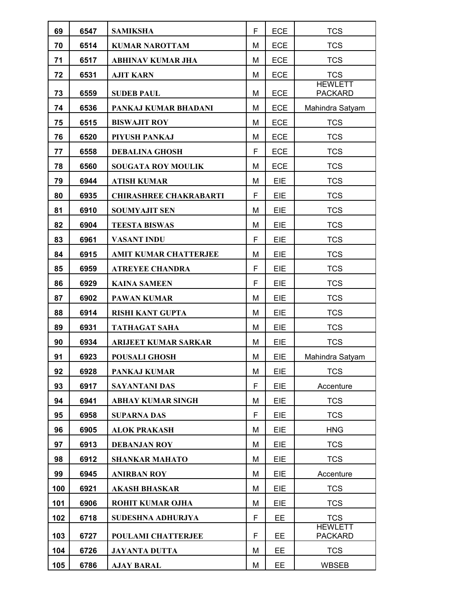| 69  | 6547 | <b>SAMIKSHA</b>               | F | <b>ECE</b> | <b>TCS</b>                       |
|-----|------|-------------------------------|---|------------|----------------------------------|
| 70  | 6514 | <b>KUMAR NAROTTAM</b>         | M | <b>ECE</b> | <b>TCS</b>                       |
| 71  | 6517 | <b>ABHINAV KUMAR JHA</b>      | M | <b>ECE</b> | <b>TCS</b>                       |
| 72  | 6531 | <b>AJIT KARN</b>              | M | <b>ECE</b> | <b>TCS</b><br><b>HEWLETT</b>     |
| 73  | 6559 | <b>SUDEB PAUL</b>             | M | <b>ECE</b> | <b>PACKARD</b>                   |
| 74  | 6536 | PANKAJ KUMAR BHADANI          | M | <b>ECE</b> | Mahindra Satyam                  |
| 75  | 6515 | <b>BISWAJIT ROY</b>           | M | <b>ECE</b> | <b>TCS</b>                       |
| 76  | 6520 | PIYUSH PANKAJ                 | M | <b>ECE</b> | <b>TCS</b>                       |
| 77  | 6558 | <b>DEBALINA GHOSH</b>         | F | <b>ECE</b> | <b>TCS</b>                       |
| 78  | 6560 | <b>SOUGATA ROY MOULIK</b>     | м | <b>ECE</b> | <b>TCS</b>                       |
| 79  | 6944 | <b>ATISH KUMAR</b>            | M | EIE        | <b>TCS</b>                       |
| 80  | 6935 | <b>CHIRASHREE CHAKRABARTI</b> | F | EIE        | <b>TCS</b>                       |
| 81  | 6910 | <b>SOUMYAJIT SEN</b>          | м | EIE        | <b>TCS</b>                       |
| 82  | 6904 | <b>TEESTA BISWAS</b>          | M | EIE        | <b>TCS</b>                       |
| 83  | 6961 | <b>VASANT INDU</b>            | F | EIE        | <b>TCS</b>                       |
| 84  | 6915 | <b>AMIT KUMAR CHATTERJEE</b>  | M | EIE        | <b>TCS</b>                       |
| 85  | 6959 | <b>ATREYEE CHANDRA</b>        | F | EIE        | <b>TCS</b>                       |
| 86  | 6929 | <b>KAINA SAMEEN</b>           | F | EIE        | <b>TCS</b>                       |
| 87  | 6902 | <b>PAWAN KUMAR</b>            | M | EIE        | <b>TCS</b>                       |
| 88  | 6914 | <b>RISHI KANT GUPTA</b>       | M | EIE        | <b>TCS</b>                       |
| 89  | 6931 | <b>TATHAGAT SAHA</b>          | M | EIE        | <b>TCS</b>                       |
| 90  | 6934 | <b>ARIJEET KUMAR SARKAR</b>   | M | EIE        | <b>TCS</b>                       |
| 91  | 6923 | <b>POUSALI GHOSH</b>          | M | EIE        | Mahindra Satyam                  |
| 92  | 6928 | PANKAJ KUMAR                  | M | EIE        | <b>TCS</b>                       |
| 93  | 6917 | <b>SAYANTANI DAS</b>          | F | EIE        | Accenture                        |
| 94  | 6941 | <b>ABHAY KUMAR SINGH</b>      | M | <b>EIE</b> | <b>TCS</b>                       |
| 95  | 6958 | <b>SUPARNA DAS</b>            | F | <b>EIE</b> | <b>TCS</b>                       |
| 96  | 6905 | <b>ALOK PRAKASH</b>           | M | <b>EIE</b> | <b>HNG</b>                       |
| 97  | 6913 | <b>DEBANJAN ROY</b>           | M | EIE        | <b>TCS</b>                       |
| 98  | 6912 | <b>SHANKAR MAHATO</b>         | M | <b>EIE</b> | <b>TCS</b>                       |
| 99  | 6945 | <b>ANIRBAN ROY</b>            | M | <b>EIE</b> | Accenture                        |
| 100 | 6921 | <b>AKASH BHASKAR</b>          | M | EIE        | <b>TCS</b>                       |
| 101 | 6906 | <b>ROHIT KUMAR OJHA</b>       | M | EIE        | <b>TCS</b>                       |
| 102 | 6718 | SUDESHNA ADHURJYA             | F | EE         | <b>TCS</b>                       |
| 103 | 6727 | <b>POULAMI CHATTERJEE</b>     | F | <b>EE</b>  | <b>HEWLETT</b><br><b>PACKARD</b> |
| 104 | 6726 | <b>JAYANTA DUTTA</b>          | M | <b>EE</b>  | <b>TCS</b>                       |
| 105 | 6786 | <b>AJAY BARAL</b>             | M | EE.        | <b>WBSEB</b>                     |